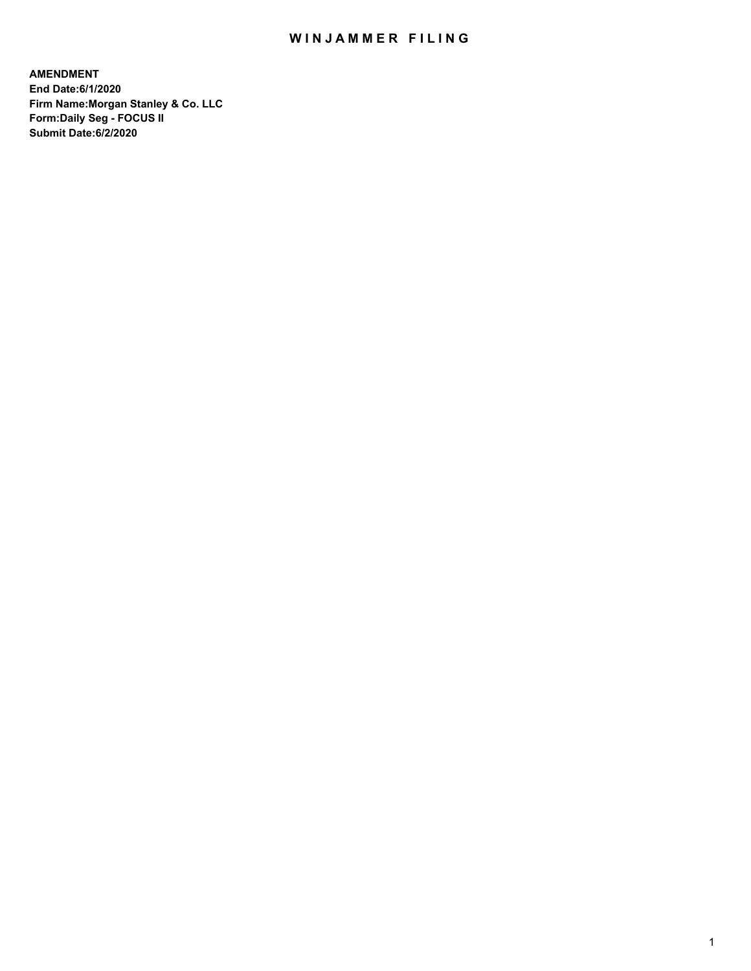## WIN JAMMER FILING

**AMENDMENT End Date:6/1/2020 Firm Name:Morgan Stanley & Co. LLC Form:Daily Seg - FOCUS II Submit Date:6/2/2020**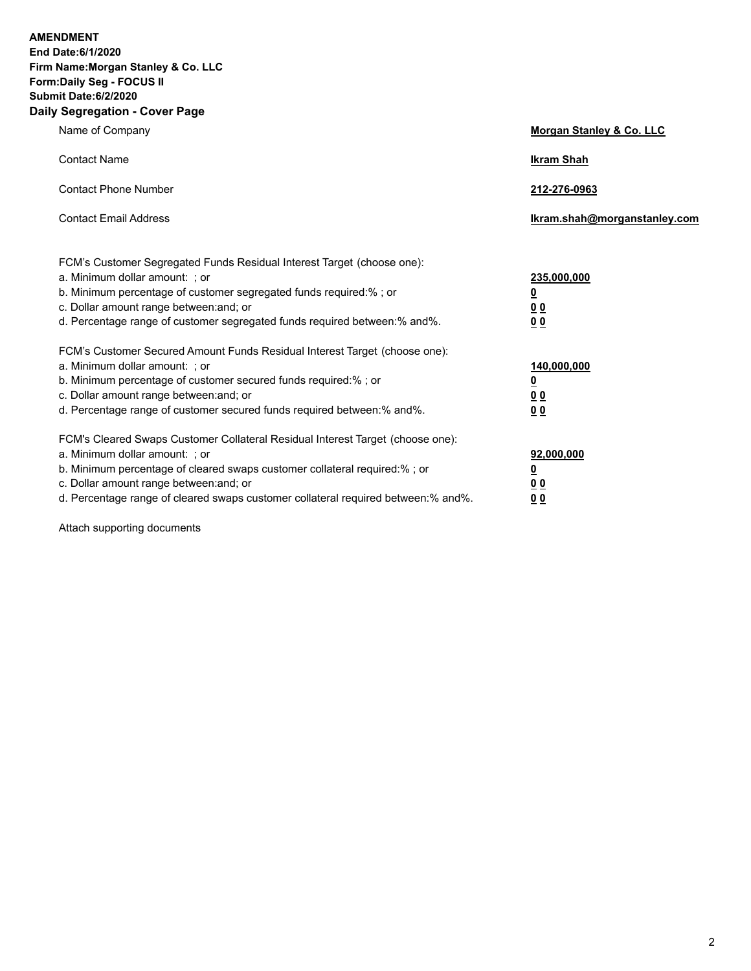**AMENDMENT** 

**End Date:6/1/2020 Firm Name:Morgan Stanley & Co. LLC Form:Daily Seg - FOCUS II Submit Date:6/2/2020 Daily Segregation - Cover Page**

| <u>ocyncyauon - oover raye</u>                                                                            |                              |
|-----------------------------------------------------------------------------------------------------------|------------------------------|
| Name of Company                                                                                           | Morgan Stanley & Co. LLC     |
| <b>Contact Name</b>                                                                                       | <b>Ikram Shah</b>            |
| <b>Contact Phone Number</b>                                                                               | 212-276-0963                 |
| <b>Contact Email Address</b>                                                                              | Ikram.shah@morganstanley.com |
| FCM's Customer Segregated Funds Residual Interest Target (choose one):                                    |                              |
| a. Minimum dollar amount: ; or<br>b. Minimum percentage of customer segregated funds required:%; or       | 235,000,000<br><u>0</u>      |
| c. Dollar amount range between: and; or                                                                   | <u>00</u>                    |
| d. Percentage range of customer segregated funds required between:% and%.                                 | 0 Q                          |
| FCM's Customer Secured Amount Funds Residual Interest Target (choose one):                                |                              |
| a. Minimum dollar amount: ; or                                                                            | 140,000,000                  |
| b. Minimum percentage of customer secured funds required:%; or<br>c. Dollar amount range between: and; or | <u>0</u>                     |
| d. Percentage range of customer secured funds required between:% and%.                                    | <u>00</u><br>0 <sub>0</sub>  |
| FCM's Cleared Swaps Customer Collateral Residual Interest Target (choose one):                            |                              |
| a. Minimum dollar amount: ; or                                                                            | 92,000,000                   |
| b. Minimum percentage of cleared swaps customer collateral required:% ; or                                | <u>0</u>                     |
| c. Dollar amount range between: and; or                                                                   | <u>00</u>                    |
| d. Percentage range of cleared swaps customer collateral required between:% and%.                         | 0 <sub>0</sub>               |

Attach supporting documents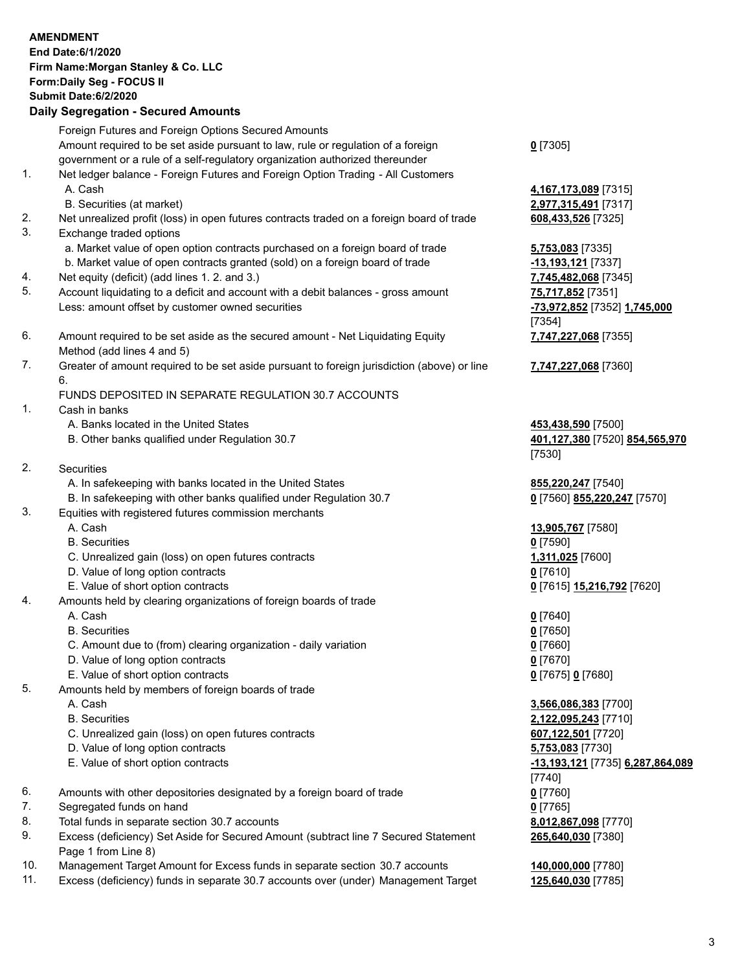|            | <b>AMENDMENT</b><br>End Date:6/1/2020<br>Firm Name: Morgan Stanley & Co. LLC<br>Form: Daily Seg - FOCUS II<br><b>Submit Date:6/2/2020</b><br><b>Daily Segregation - Secured Amounts</b>                                 |                                                                |
|------------|-------------------------------------------------------------------------------------------------------------------------------------------------------------------------------------------------------------------------|----------------------------------------------------------------|
|            | Foreign Futures and Foreign Options Secured Amounts<br>Amount required to be set aside pursuant to law, rule or regulation of a foreign<br>government or a rule of a self-regulatory organization authorized thereunder | $0$ [7305]                                                     |
| 1.         | Net ledger balance - Foreign Futures and Foreign Option Trading - All Customers<br>A. Cash                                                                                                                              | 4,167,173,089 [7315]                                           |
|            | B. Securities (at market)                                                                                                                                                                                               | 2,977,315,491 [7317]                                           |
| 2.<br>3.   | Net unrealized profit (loss) in open futures contracts traded on a foreign board of trade<br>Exchange traded options                                                                                                    | 608,433,526 [7325]                                             |
|            | a. Market value of open option contracts purchased on a foreign board of trade<br>b. Market value of open contracts granted (sold) on a foreign board of trade                                                          | 5,753,083 [7335]<br>-13,193,121 [7337]                         |
| 4.         | Net equity (deficit) (add lines 1.2. and 3.)                                                                                                                                                                            | 7,745,482,068 [7345]                                           |
| 5.         | Account liquidating to a deficit and account with a debit balances - gross amount<br>Less: amount offset by customer owned securities                                                                                   | 75,717,852 [7351]<br>-73,972,852 [7352] 1,745,000<br>[7354]    |
| 6.         | Amount required to be set aside as the secured amount - Net Liquidating Equity<br>Method (add lines 4 and 5)                                                                                                            | 7,747,227,068 [7355]                                           |
| 7.         | Greater of amount required to be set aside pursuant to foreign jurisdiction (above) or line<br>6.                                                                                                                       | 7,747,227,068 [7360]                                           |
|            | FUNDS DEPOSITED IN SEPARATE REGULATION 30.7 ACCOUNTS                                                                                                                                                                    |                                                                |
| 1.         | Cash in banks                                                                                                                                                                                                           |                                                                |
|            | A. Banks located in the United States<br>B. Other banks qualified under Regulation 30.7                                                                                                                                 | 453,438,590 [7500]<br>401,127,380 [7520] 854,565,970<br>[7530] |
| 2.         | <b>Securities</b>                                                                                                                                                                                                       |                                                                |
|            | A. In safekeeping with banks located in the United States<br>B. In safekeeping with other banks qualified under Regulation 30.7                                                                                         | 855,220,247 [7540]<br>0 [7560] 855,220,247 [7570]              |
| 3.         | Equities with registered futures commission merchants                                                                                                                                                                   |                                                                |
|            | A. Cash                                                                                                                                                                                                                 | 13,905,767 [7580]                                              |
|            | <b>B.</b> Securities                                                                                                                                                                                                    | $0$ [7590]                                                     |
|            | C. Unrealized gain (loss) on open futures contracts<br>D. Value of long option contracts                                                                                                                                | 1,311,025 [7600]<br>$0$ [7610]                                 |
|            | E. Value of short option contracts                                                                                                                                                                                      | <u>0</u> [7615] <u>15,216,792</u> [7620]                       |
| 4.         | Amounts held by clearing organizations of foreign boards of trade                                                                                                                                                       |                                                                |
|            | A. Cash                                                                                                                                                                                                                 | $0$ [7640]                                                     |
|            | <b>B.</b> Securities                                                                                                                                                                                                    | $0$ [7650]                                                     |
|            | C. Amount due to (from) clearing organization - daily variation<br>D. Value of long option contracts                                                                                                                    | <u>0</u> [7660]<br>$0$ [7670]                                  |
|            | E. Value of short option contracts                                                                                                                                                                                      | 0 [7675] 0 [7680]                                              |
| 5.         | Amounts held by members of foreign boards of trade                                                                                                                                                                      |                                                                |
|            | A. Cash                                                                                                                                                                                                                 | 3,566,086,383 [7700]                                           |
|            | <b>B.</b> Securities                                                                                                                                                                                                    | 2,122,095,243 [7710]                                           |
|            | C. Unrealized gain (loss) on open futures contracts                                                                                                                                                                     | 607,122,501 [7720]                                             |
|            | D. Value of long option contracts                                                                                                                                                                                       | 5,753,083 [7730]                                               |
|            | E. Value of short option contracts                                                                                                                                                                                      | -13,193,121 [7735] 6,287,864,089<br>[7740]                     |
| 6.         | Amounts with other depositories designated by a foreign board of trade                                                                                                                                                  | $0$ [7760]                                                     |
| 7.         | Segregated funds on hand                                                                                                                                                                                                | $0$ [7765]                                                     |
| 8.         | Total funds in separate section 30.7 accounts                                                                                                                                                                           | 8,012,867,098 [7770]                                           |
| 9.         | Excess (deficiency) Set Aside for Secured Amount (subtract line 7 Secured Statement<br>Page 1 from Line 8)                                                                                                              | 265,640,030 [7380]                                             |
| 10.<br>11. | Management Target Amount for Excess funds in separate section 30.7 accounts<br>Excess (deficiency) funds in separate 30.7 accounts over (under) Management Target                                                       | 140,000,000 [7780]<br>125,640,030 [7785]                       |

3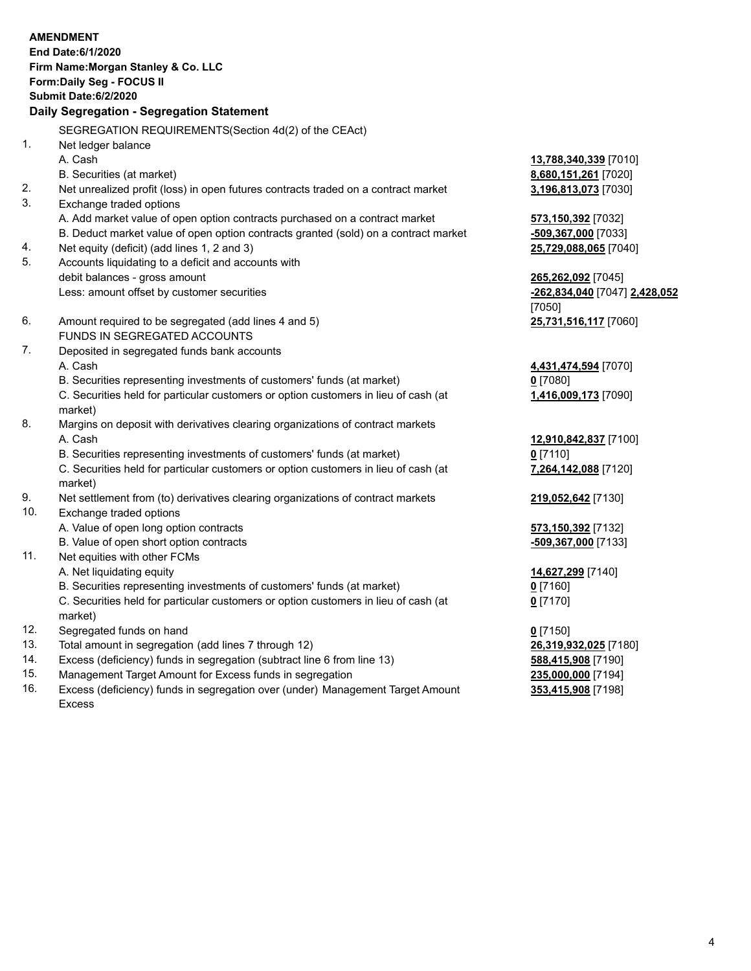|     | <b>AMENDMENT</b><br>End Date: 6/1/2020<br>Firm Name: Morgan Stanley & Co. LLC<br>Form: Daily Seg - FOCUS II<br>Submit Date: 6/2/2020<br>Daily Segregation - Segregation Statement |                               |
|-----|-----------------------------------------------------------------------------------------------------------------------------------------------------------------------------------|-------------------------------|
|     | SEGREGATION REQUIREMENTS(Section 4d(2) of the CEAct)                                                                                                                              |                               |
| 1.  | Net ledger balance                                                                                                                                                                |                               |
|     | A. Cash                                                                                                                                                                           | 13,788,340,339 [7010]         |
|     | B. Securities (at market)                                                                                                                                                         | 8,680,151,261 [7020]          |
| 2.  | Net unrealized profit (loss) in open futures contracts traded on a contract market                                                                                                | 3,196,813,073 [7030]          |
| 3.  | Exchange traded options                                                                                                                                                           |                               |
|     | A. Add market value of open option contracts purchased on a contract market                                                                                                       | 573,150,392 [7032]            |
|     | B. Deduct market value of open option contracts granted (sold) on a contract market                                                                                               | -509,367,000 [7033]           |
| 4.  | Net equity (deficit) (add lines 1, 2 and 3)                                                                                                                                       | 25,729,088,065 [7040]         |
| 5.  | Accounts liquidating to a deficit and accounts with                                                                                                                               |                               |
|     | debit balances - gross amount                                                                                                                                                     | 265,262,092 [7045]            |
|     | Less: amount offset by customer securities                                                                                                                                        | -262,834,040 [7047] 2,428,052 |
|     |                                                                                                                                                                                   | [7050]                        |
| 6.  | Amount required to be segregated (add lines 4 and 5)                                                                                                                              | 25,731,516,117 [7060]         |
|     | FUNDS IN SEGREGATED ACCOUNTS                                                                                                                                                      |                               |
| 7.  | Deposited in segregated funds bank accounts                                                                                                                                       |                               |
|     | A. Cash                                                                                                                                                                           | 4,431,474,594 [7070]          |
|     | B. Securities representing investments of customers' funds (at market)                                                                                                            | $0$ [7080]                    |
|     | C. Securities held for particular customers or option customers in lieu of cash (at<br>market)                                                                                    | 1,416,009,173 [7090]          |
| 8.  | Margins on deposit with derivatives clearing organizations of contract markets                                                                                                    |                               |
|     | A. Cash                                                                                                                                                                           | 12,910,842,837 [7100]         |
|     | B. Securities representing investments of customers' funds (at market)                                                                                                            | $0$ [7110]                    |
|     | C. Securities held for particular customers or option customers in lieu of cash (at                                                                                               | 7,264,142,088 [7120]          |
|     | market)                                                                                                                                                                           |                               |
| 9.  | Net settlement from (to) derivatives clearing organizations of contract markets                                                                                                   | 219,052,642 [7130]            |
| 10. | Exchange traded options                                                                                                                                                           |                               |
|     | A. Value of open long option contracts                                                                                                                                            | 573,150,392 [7132]            |
|     | B. Value of open short option contracts                                                                                                                                           | -509,367,000 [7133]           |
| 11. | Net equities with other FCMs                                                                                                                                                      |                               |
|     | A. Net liquidating equity                                                                                                                                                         | 14,627,299 [7140]             |
|     | B. Securities representing investments of customers' funds (at market)                                                                                                            | $0$ [7160]                    |
|     | C. Securities held for particular customers or option customers in lieu of cash (at<br>market)                                                                                    | $0$ [7170]                    |
| 12. | Segregated funds on hand                                                                                                                                                          | $0$ [7150]                    |
| 13. | Total amount in segregation (add lines 7 through 12)                                                                                                                              | 26,319,932,025 [7180]         |
| 14. | Excess (deficiency) funds in segregation (subtract line 6 from line 13)                                                                                                           | 588,415,908 [7190]            |
|     |                                                                                                                                                                                   |                               |

15. Management Target Amount for Excess funds in segregation<br>16. Excess (deficiency) funds in segregation over (under) Manag Excess (deficiency) funds in segregation over (under) Management Target Amount Excess

**353,415,908** [7198]